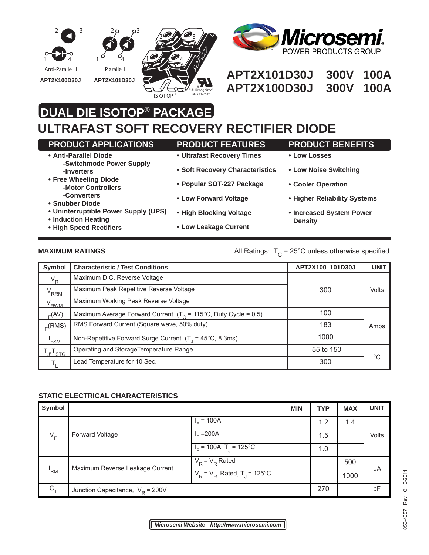



## Anti-Paralle | Paralle | Paralle | Paralle | **APT2X101D30J 300V 100A APT2X100D30J 300V 100A**

# **DUAL DIE ISOTOP® PACKAGE**

## **ULTRAFAST SOFT RECOVERY RECTIFIER DIODE**

| <b>PRODUCT APPLICATIONS</b>                                 | <b>PRODUCT FEATURES</b>         | <b>PRODUCT BENEFITS</b>                    |
|-------------------------------------------------------------|---------------------------------|--------------------------------------------|
| • Anti-Parallel Diode<br>-Switchmode Power Supply           | • Ultrafast Recovery Times      | • Low Losses                               |
| -Inverters                                                  | • Soft Recovery Characteristics | • Low Noise Switching                      |
| • Free Wheeling Diode<br>-Motor Controllers                 | • Popular SOT-227 Package       | • Cooler Operation                         |
| -Converters<br>• Snubber Diode                              | • Low Forward Voltage           | • Higher Reliability Systems               |
| • Uninterruptible Power Supply (UPS)<br>• Induction Heating | • High Blocking Voltage         | • Increased System Power<br><b>Density</b> |
| • High Speed Rectifiers                                     | • Low Leakage Current           |                                            |

**MAXIMUM RATINGS MAXIMUM RATINGS All Ratings:**  $T_c = 25^{\circ}$ C unless otherwise specified.

| Symbol            | <b>Characteristic / Test Conditions</b>                                   | APT2X100_101D30J | <b>UNIT</b> |
|-------------------|---------------------------------------------------------------------------|------------------|-------------|
| $V_R$             | Maximum D.C. Reverse Voltage                                              |                  |             |
| <sup>V</sup> RRM  | Maximum Peak Repetitive Reverse Voltage                                   | 300              | Volts       |
| V <sub>RWM</sub>  | Maximum Working Peak Reverse Voltage                                      |                  |             |
| $I_E(AV)$         | Maximum Average Forward Current $(T_c = 115^{\circ}C$ , Duty Cycle = 0.5) | 100              |             |
| $I_c(RMS)$        | RMS Forward Current (Square wave, 50% duty)                               | 183              | Amps        |
| 'FSM              | Non-Repetitive Forward Surge Current $(T_1 = 45^{\circ}C, 8.3 \text{ms})$ | 1000             |             |
| <sup>,T</sup> sтG | Operating and StorageTemperature Range                                    | $-55$ to 150     |             |
|                   | Lead Temperature for 10 Sec.                                              | 300              | °C          |

### **STATIC ELECTRICAL CHARACTERISTICS**

| Symbol     |                                                                                                                 |                                     | <b>MIN</b> | <b>TYP</b> | <b>MAX</b> | <b>UNIT</b> |
|------------|-----------------------------------------------------------------------------------------------------------------|-------------------------------------|------------|------------|------------|-------------|
| $V_F$      | Forward Voltage                                                                                                 | $I_F = 100\overline{A}$             |            | 1.2        | 1.4        | Volts       |
|            |                                                                                                                 | $I_F = 200 \text{Å}$                |            | 1.5        |            |             |
|            |                                                                                                                 | $IF$ = 100A, T <sub>1</sub> = 125°C |            | 1.0        |            |             |
| 'RM        | $V_R = V_R$ Rated<br>Maximum Reverse Leakage Current<br>$V_{\rm p}$ = $V_{\rm p}$ Rated, T <sub>1</sub> = 125°C |                                     |            | 500        |            |             |
|            |                                                                                                                 |                                     |            |            | 1000       | μA          |
| $C_{\tau}$ | Junction Capacitance, $V_{\text{R}}$ = 200V                                                                     |                                     |            | 270        |            | pF          |

 $C$  3-2011 053-4057 Rev C 3-2011 Rev 153-4057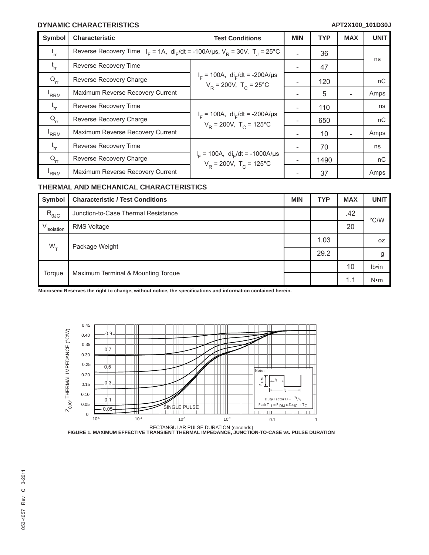### **DYNAMIC CHARACTERISTICS**

| <b>Symbol</b>    | Characteristic                                                                                                 | <b>Test Conditions</b>                                                                      | <b>MIN</b> | <b>TYP</b> | <b>MAX</b> | <b>UNIT</b> |
|------------------|----------------------------------------------------------------------------------------------------------------|---------------------------------------------------------------------------------------------|------------|------------|------------|-------------|
| t<br>rr          | Reverse Recovery Time $I_F = 1A$ , di <sub>r</sub> /dt = -100A/us, V <sub>p</sub> = 30V, T <sub>1</sub> = 25°C |                                                                                             |            | 36         |            |             |
| $t_{rr}$         | Reverse Recovery Time                                                                                          |                                                                                             |            | 47         |            | ns          |
| $Q_{rr}$         | Reverse Recovery Charge                                                                                        | $I_F$ = 100A, di <sub>F</sub> /dt = -200A/µs<br>$V_R = 200V$ , $T_C = 25^{\circ}C$          |            | 120        |            | пC          |
| <sup>I</sup> RRM | Maximum Reverse Recovery Current                                                                               |                                                                                             | -          | 5          |            | Amps        |
| $t_{rr}$         | Reverse Recovery Time                                                                                          | $I_F$ = 100A, di <sub>F</sub> /dt = -200A/µs<br>$V_p = 200V$ , $T_c = 125^{\circ}C$         |            | 110        |            | ns          |
| $Q_{rr}$         | Reverse Recovery Charge                                                                                        |                                                                                             |            | 650        |            | пC          |
| <sup>'</sup> RRM | Maximum Reverse Recovery Current                                                                               |                                                                                             |            | 10         |            | Amps        |
| $t_{rr}$         | Reverse Recovery Time                                                                                          | $I_F$ = 100A, di <sub>F</sub> /dt = -1000A/µs<br>$V_{\rm p}$ = 200V, T <sub>c</sub> = 125°C |            | 70         |            | ns          |
| $Q_{rr}$         | Reverse Recovery Charge                                                                                        |                                                                                             |            | 1490       |            | nC          |
| 'RRM             | Maximum Reverse Recovery Current                                                                               |                                                                                             |            | 37         |            | Amps        |

#### **THERMAL AND MECHANICAL CHARACTERISTICS**

| Symbol                 | <b>Characteristic / Test Conditions</b> | <b>MIN</b> | <b>TYP</b> | <b>MAX</b> | <b>UNIT</b>   |
|------------------------|-----------------------------------------|------------|------------|------------|---------------|
| $R_{\theta$ JC         | Junction-to-Case Thermal Resistance     |            |            | .42        | $\degree$ C/W |
| V <sub>isolation</sub> | <b>RMS Voltage</b>                      |            |            | 20         |               |
| $W_{\tau}$             | Package Weight                          |            | 1.03       |            | 0Z            |
|                        |                                         |            | 29.2       |            | g             |
| Torque                 | Maximum Terminal & Mounting Torque      |            |            | 10         | $Ib \cdot in$ |
|                        |                                         |            |            | 1.1        | $N \cdot m$   |

**Microsemi Reserves the right to change, without notice, the specifi cations and information contained herein.**



RECTANGULAR PULSE DURATION (seconds) **FIGURE 1. MAXIMUM EFFECTIVE TRANSIENT THERMAL IMPEDANCE, JUNCTION-TO-CASE vs. PULSE DURATION**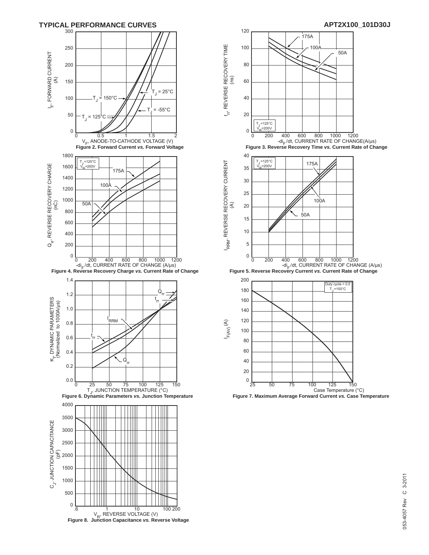



 **Figure 6. Dynamic Parameters** *vs.* **Junction Temperature Figure 7. Maximum Average Forward Current** *vs.* **Case Temperature**